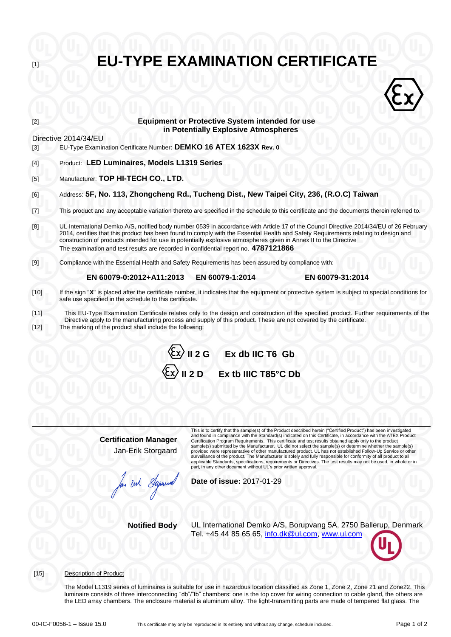# **EU-TYPE EXAMINATION CERTIFICATE**



# **Equipment or Protective System intended for use in Potentially Explosive Atmospheres**

Directive 2014/34/EU

- [3] EU-Type Examination Certificate Number: **DEMKO 16 ATEX 1623X Rev. 0**
- [4] Product: **LED Luminaires, Models L1319 Series**
- [5] Manufacturer: **TOP HI-TECH CO., LTD.**
- [6] Address: **5F, No. 113, Zhongcheng Rd., Tucheng Dist., New Taipei City, 236, (R.O.C) Taiwan**

[7] This product and any acceptable variation thereto are specified in the schedule to this certificate and the documents therein referred to.

- [8] UL International Demko A/S, notified body number 0539 in accordance with Article 17 of the Council Directive 2014/34/EU of 26 February 2014, certifies that this product has been found to comply with the Essential Health and Safety Requirements relating to design and construction of products intended for use in potentially explosive atmospheres given in Annex II to the Directive The examination and test results are recorded in confidential report no. **4787121866**
- [9] Compliance with the Essential Health and Safety Requirements has been assured by compliance with:

#### **EN 60079-0:2012+A11:2013 EN 60079-1:2014 EN 60079-31:2014**

- [10] If the sign "**X**" is placed after the certificate number, it indicates that the equipment or protective system is subject to special conditions for safe use specified in the schedule to this certificate.
- [11] This EU-Type Examination Certificate relates only to the design and construction of the specified product. Further requirements of the Directive apply to the manufacturing process and supply of this product. These are not covered by the certificate. [12] The marking of the product shall include the following:



**Certification Manager** Jan-Erik Storgaard

This is to certify that the sample(s) of the Product described herein ("Certified Product") has been investigated<br>and found in compliance with the Standard(s) indicated on this Certificate, in accordance with the ATEX Prod Certification Program Requirements. This certificate and test results obtained apply only to the product sample(s) submitted by the Manufacturer. UL did not select the sample(s) or determine whether the sample(s) provided were representative of other manufactured product. UL has not established Follow-Up Service or other<br>surveillance of the product. The Manufacturer is solely and fully responsible for conformity of all product to a applicable Standards, specifications, requirements or Directives. The test results may not be used, in whole or in part, in any other document without UL's prior written approval.

**Date of issue:** 2017-01-29

**Notified Body** UL International Demko A/S, Borupvang 5A, 2750 Ballerup, Denmark Tel. +45 44 85 65 65, [info.dk@ul.com,](mailto:info.dk@ul.com) [www.ul.com](http://www.ul.com/)

[15] Description of Product

The Model L1319 series of luminaires is suitable for use in hazardous location classified as Zone 1, Zone 2, Zone 21 and Zone22. This luminaire consists of three interconnecting "db"/"tb" chambers: one is the top cover for wiring connection to cable gland, the others are the LED array chambers. The enclosure material is aluminum alloy. The light-transmitting parts are made of tempered flat glass. The